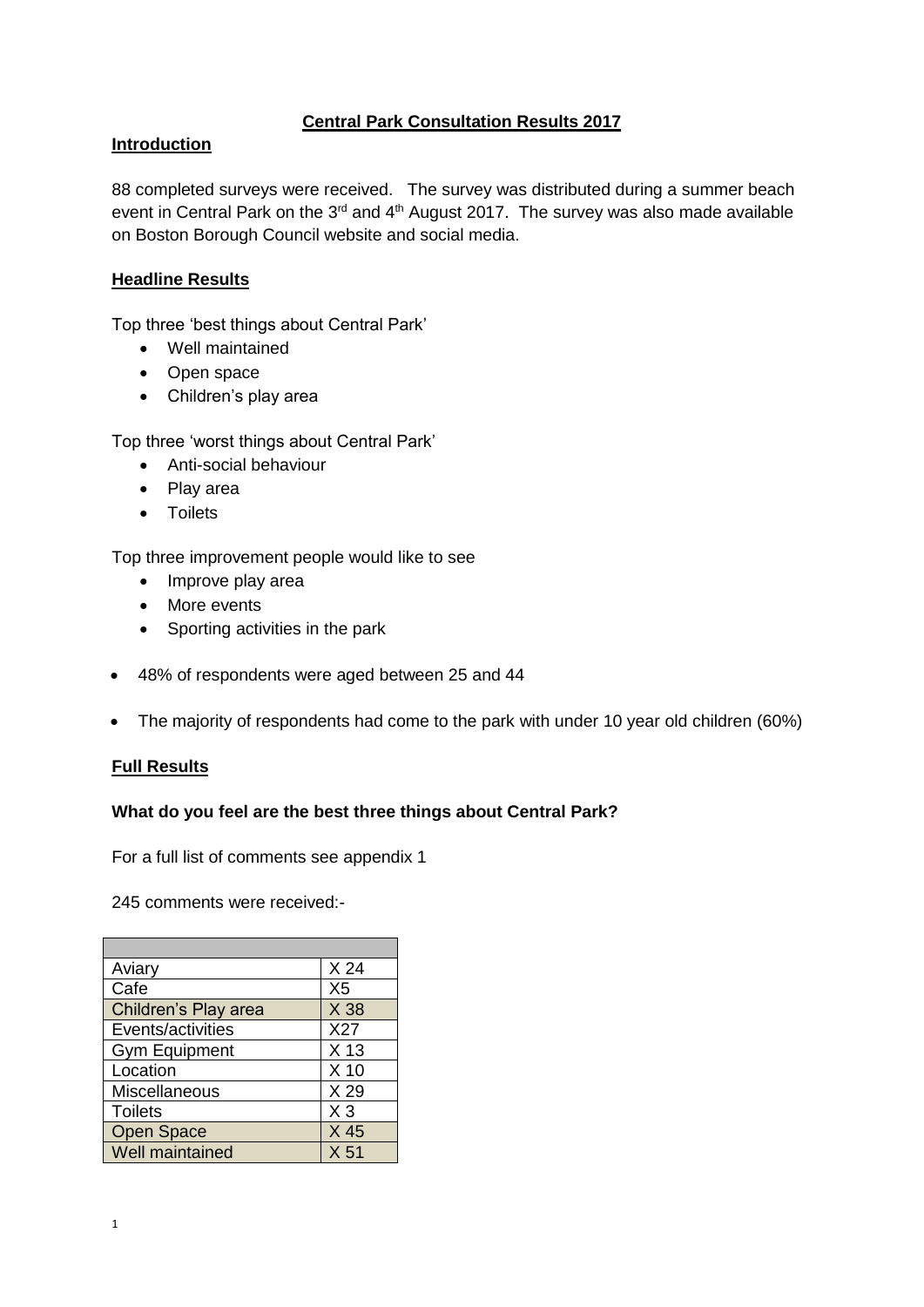# **Central Park Consultation Results 2017**

## **Introduction**

88 completed surveys were received. The survey was distributed during a summer beach event in Central Park on the  $3<sup>rd</sup>$  and  $4<sup>th</sup>$  August 2017. The survey was also made available on Boston Borough Council website and social media.

## **Headline Results**

Top three 'best things about Central Park'

- Well maintained
- Open space
- Children's play area

Top three 'worst things about Central Park'

- Anti-social behaviour
- Play area
- Toilets

Top three improvement people would like to see

- Improve play area
- More events
- Sporting activities in the park
- 48% of respondents were aged between 25 and 44
- The majority of respondents had come to the park with under 10 year old children (60%)

### **Full Results**

### **What do you feel are the best three things about Central Park?**

For a full list of comments see appendix 1

245 comments were received:-

| Aviary               | X <sub>24</sub> |
|----------------------|-----------------|
| Cafe                 | X <sub>5</sub>  |
| Children's Play area | X 38            |
| Events/activities    | X27             |
| <b>Gym Equipment</b> | X <sub>13</sub> |
| Location             | $X$ 10          |
| <b>Miscellaneous</b> | X 29            |
| <b>Toilets</b>       | $X_3$           |
| <b>Open Space</b>    | X 45            |
| Well maintained      | X <sub>51</sub> |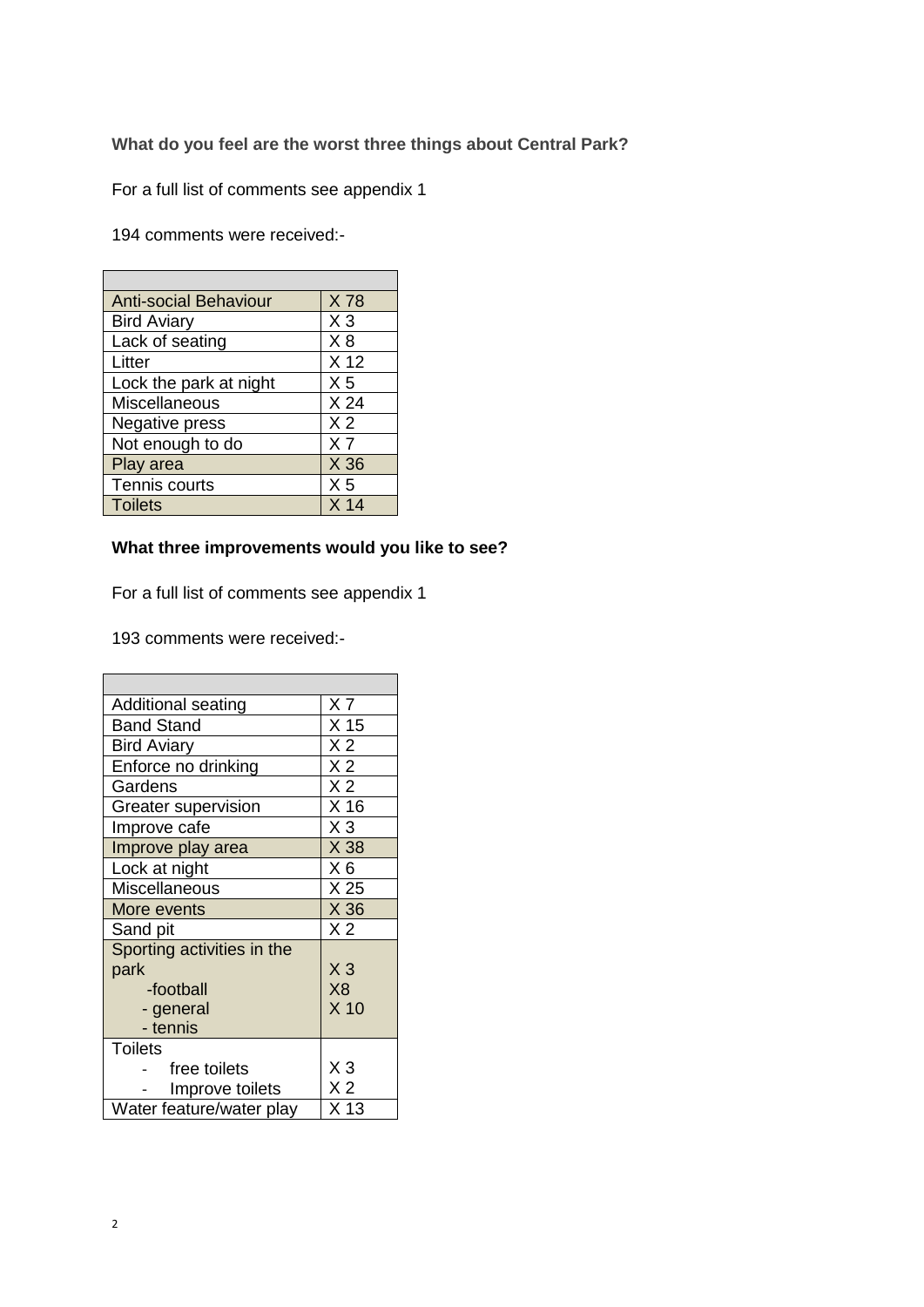**What do you feel are the worst three things about Central Park?**

For a full list of comments see appendix 1

194 comments were received:-

| <b>Anti-social Behaviour</b> | X78             |
|------------------------------|-----------------|
| <b>Bird Aviary</b>           | $X_3$           |
| Lack of seating              | X8              |
| Litter                       | X <sub>12</sub> |
| Lock the park at night       | X <sub>5</sub>  |
| Miscellaneous                | X <sub>24</sub> |
| Negative press               | X <sub>2</sub>  |
| Not enough to do             | X <sub>7</sub>  |
| Play area                    | X 36            |
| Tennis courts                | X <sub>5</sub>  |
| <b>Toilets</b>               | X <sub>14</sub> |

# **What three improvements would you like to see?**

For a full list of comments see appendix 1

193 comments were received:-

| <b>Additional seating</b>  | X <sub>7</sub>  |
|----------------------------|-----------------|
| <b>Band Stand</b>          | X <sub>15</sub> |
| <b>Bird Aviary</b>         | X <sub>2</sub>  |
| Enforce no drinking        | X <sub>2</sub>  |
| Gardens                    | X <sub>2</sub>  |
| <b>Greater supervision</b> | X <sub>16</sub> |
| Improve cafe               | $X_3$           |
| Improve play area          | X 38            |
| Lock at night              | $X_6$           |
| <b>Miscellaneous</b>       | X 25            |
| More events                | X 36            |
| Sand pit                   | X <sub>2</sub>  |
| Sporting activities in the |                 |
| park                       | $X_3$           |
| -football                  | X <sub>8</sub>  |
| - general                  | X <sub>10</sub> |
| - tennis                   |                 |
| <b>Toilets</b>             |                 |
| free toilets               | $X_3$           |
| Improve toilets            | X <sub>2</sub>  |
| Water feature/water play   | X 13            |